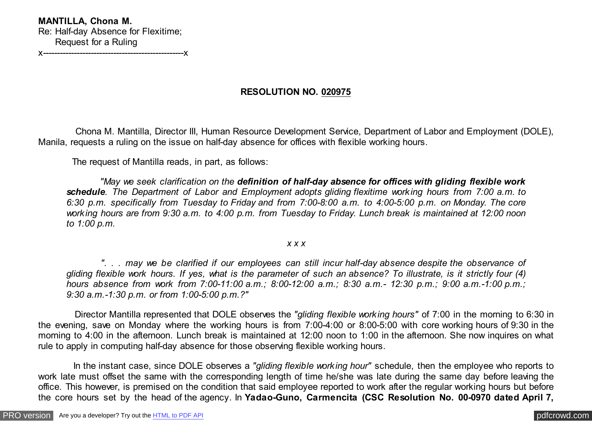## **MANTILLA, Chona M.** Re: Half-day Absence for Flexitime; Request for a Ruling x--------------------------------------------------x

**RESOLUTION NO. 020975**

 Chona M. Mantilla, Director III, Human Resource Development Service, Department of Labor and Employment (DOLE), Manila, requests a ruling on the issue on half-day absence for offices with flexible working hours.

The request of Mantilla reads, in part, as follows:

 *"May we seek clarification on the definition of half-day absence for offices with gliding flexible work schedule. The Department of Labor and Employment adopts gliding flexitime working hours from 7:00 a.m. to 6:30 p.m. specifically from Tuesday to Friday and from 7:00-8:00 a.m. to 4:00-5:00 p.m. on Monday. The core working hours are from 9:30 a.m. to 4:00 p.m. from Tuesday to Friday. Lunch break is maintained at 12:00 noon to 1:00 p.m.*

*x x x*

 *". . . may we be clarified if our employees can still incur half-day absence despite the observance of gliding flexible work hours. If yes, what is the parameter of such an absence? To illustrate, is it strictly four (4) hours absence from work from 7:00-11:00 a.m.; 8:00-12:00 a.m.; 8:30 a.m.- 12:30 p.m.; 9:00 a.m.-1:00 p.m.; 9:30 a.m.-1:30 p.m. or from 1:00-5:00 p.m.?"*

 Director Mantilla represented that DOLE observes the *"gliding flexible working hours"* of 7:00 in the morning to 6:30 in the evening, save on Monday where the working hours is from 7:00-4:00 or 8:00-5:00 with core working hours of 9:30 in the morning to 4:00 in the afternoon. Lunch break is maintained at 12:00 noon to 1:00 in the afternoon. She now inquires on what rule to apply in computing half-day absence for those observing flexible working hours.

 In the instant case, since DOLE observes a *"gliding flexible working hour"* schedule, then the employee who reports to work late must offset the same with the corresponding length of time he/she was late during the same day before leaving the office. This however, is premised on the condition that said employee reported to work after the regular working hours but before the core hours set by the head of the agency. In **Yadao-Guno, Carmencita (CSC Resolution No. 00-0970 dated April 7,**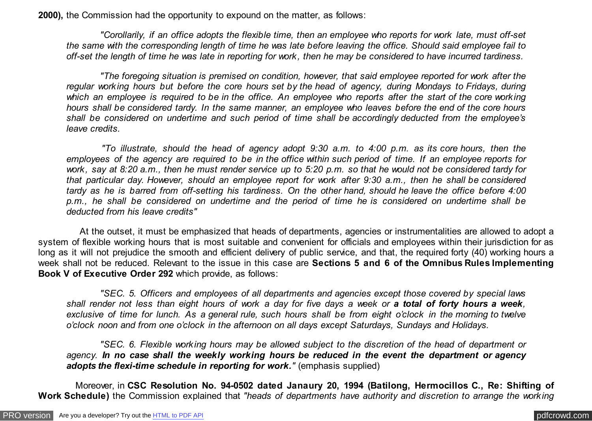**2000),** the Commission had the opportunity to expound on the matter, as follows:

 *"Corollarily, if an office adopts the flexible time, then an employee who reports for work late, must off-set the same with the corresponding length of time he was late before leaving the office. Should said employee fail to off-set the length of time he was late in reporting for work, then he may be considered to have incurred tardiness.*

 *"The foregoing situation is premised on condition, however, that said employee reported for work after the regular working hours but before the core hours set by the head of agency, during Mondays to Fridays, during which an employee is required to be in the office. An employee who reports after the start of the core working hours shall be considered tardy. In the same manner, an employee who leaves before the end of the core hours shall be considered on undertime and such period of time shall be accordingly deducted from the employee's leave credits.*

 *"To illustrate, should the head of agency adopt 9:30 a.m. to 4:00 p.m. as its core hours, then the employees of the agency are required to be in the office within such period of time. If an employee reports for work, say at 8:20 a.m., then he must render service up to 5:20 p.m. so that he would not be considered tardy for that particular day. However, should an employee report for work after 9:30 a.m., then he shall be considered tardy as he is barred from off-setting his tardiness. On the other hand, should he leave the office before 4:00 p.m., he shall be considered on undertime and the period of time he is considered on undertime shall be deducted from his leave credits"*

 At the outset, it must be emphasized that heads of departments, agencies or instrumentalities are allowed to adopt a system of flexible working hours that is most suitable and convenient for officials and employees within their jurisdiction for as long as it will not prejudice the smooth and efficient delivery of public service, and that, the required forty (40) working hours a week shall not be reduced. Relevant to the issue in this case are **Sections 5 and 6 of the Omnibus Rules Implementing Book V of Executive Order 292** which provide, as follows:

 *"SEC. 5. Officers and employees of all departments and agencies except those covered by special laws shall render not less than eight hours of work a day for five days a week or a total of forty hours a week, exclusive of time for lunch. As a general rule, such hours shall be from eight o'clock in the morning to twelve o'clock noon and from one o'clock in the afternoon on all days except Saturdays, Sundays and Holidays.*

 *"SEC. 6. Flexible working hours may be allowed subject to the discretion of the head of department or agency. In no case shall the weekly working hours be reduced in the event the department or agency adopts the flexi-time schedule in reporting for work.<sup><i>"*</sup> (emphasis supplied)</sup>

 Moreover, in **CSC Resolution No. 94-0502 dated Janaury 20, 1994 (Batilong, Hermocillos C., Re: Shifting of Work Schedule)** the Commission explained that *"heads of departments have authority and discretion to arrange the working*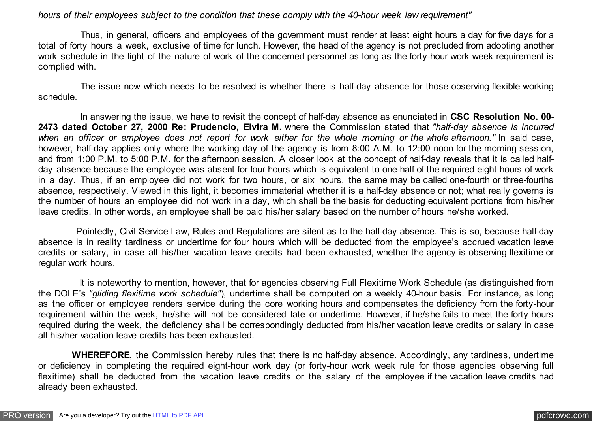## *hours of their employees subject to the condition that these comply with the 40-hour week law requirement"*

 Thus, in general, officers and employees of the government must render at least eight hours a day for five days for a total of forty hours a week, exclusive of time for lunch. However, the head of the agency is not precluded from adopting another work schedule in the light of the nature of work of the concerned personnel as long as the forty-hour work week requirement is complied with.

 The issue now which needs to be resolved is whether there is half-day absence for those observing flexible working schedule.

 In answering the issue, we have to revisit the concept of half-day absence as enunciated in **CSC Resolution No. 00- 2473 dated October 27, 2000 Re: Prudencio, Elvira M.** where the Commission stated that *"half-day absence is incurred* when an officer or employee does not report for work either for the whole morning or the whole afternoon." In said case, however, half-day applies only where the working day of the agency is from 8:00 A.M. to 12:00 noon for the morning session, and from 1:00 P.M. to 5:00 P.M. for the afternoon session. A closer look at the concept of half-day reveals that it is called halfday absence because the employee was absent for four hours which is equivalent to one-half of the required eight hours of work in a day. Thus, if an employee did not work for two hours, or six hours, the same may be called one-fourth or three-fourths absence, respectively. Viewed in this light, it becomes immaterial whether it is a half-day absence or not; what really governs is the number of hours an employee did not work in a day, which shall be the basis for deducting equivalent portions from his/her leave credits. In other words, an employee shall be paid his/her salary based on the number of hours he/she worked.

 Pointedly, Civil Service Law, Rules and Regulations are silent as to the half-day absence. This is so, because half-day absence is in reality tardiness or undertime for four hours which will be deducted from the employee's accrued vacation leave credits or salary, in case all his/her vacation leave credits had been exhausted, whether the agency is observing flexitime or regular work hours.

 It is noteworthy to mention, however, that for agencies observing Full Flexitime Work Schedule (as distinguished from the DOLE's *"gliding flexitime work schedule"*), undertime shall be computed on a weekly 40-hour basis. For instance, as long as the officer or employee renders service during the core working hours and compensates the deficiency from the forty-hour requirement within the week, he/she will not be considered late or undertime. However, if he/she fails to meet the forty hours required during the week, the deficiency shall be correspondingly deducted from his/her vacation leave credits or salary in case all his/her vacation leave credits has been exhausted.

 **WHEREFORE**, the Commission hereby rules that there is no half-day absence. Accordingly, any tardiness, undertime or deficiency in completing the required eight-hour work day (or forty-hour work week rule for those agencies observing full flexitime) shall be deducted from the vacation leave credits or the salary of the employee if the vacation leave credits had already been exhausted.